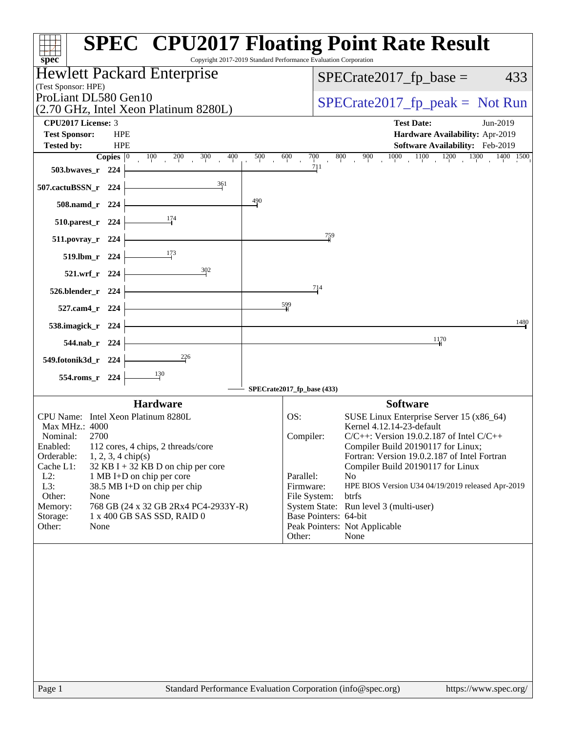|                                                                                          |                                                                 | <b>SPEC<sup>®</sup> CPU2017 Floating Point Rate Result</b>                                             |  |
|------------------------------------------------------------------------------------------|-----------------------------------------------------------------|--------------------------------------------------------------------------------------------------------|--|
| spec <sup>®</sup><br><b>Hewlett Packard Enterprise</b>                                   | Copyright 2017-2019 Standard Performance Evaluation Corporation |                                                                                                        |  |
| (Test Sponsor: HPE)                                                                      |                                                                 | $SPECrate2017_fp\_base =$<br>433                                                                       |  |
| ProLiant DL580 Gen10                                                                     | $SPECrate2017fr peak = Not Run$                                 |                                                                                                        |  |
| (2.70 GHz, Intel Xeon Platinum 8280L)<br><b>CPU2017 License: 3</b>                       |                                                                 | <b>Test Date:</b><br>Jun-2019                                                                          |  |
| <b>Test Sponsor:</b><br><b>HPE</b>                                                       |                                                                 | Hardware Availability: Apr-2019                                                                        |  |
| <b>Tested by:</b><br><b>HPE</b>                                                          |                                                                 | Software Availability: Feb-2019                                                                        |  |
| Copies $ 0\rangle$                                                                       |                                                                 | $100$ $200$ $300$ $400$ $500$ $600$ $700$ $800$ $900$ $1000$ $1100$ $1200$ $1300$ $1400$ $1500$<br>711 |  |
| 503.bwaves_r 224                                                                         |                                                                 |                                                                                                        |  |
| 361<br>507.cactuBSSN_r 224                                                               |                                                                 |                                                                                                        |  |
| 508.namd_r 224                                                                           | $\frac{490}{4}$                                                 |                                                                                                        |  |
| 510.parest_r 224                                                                         |                                                                 |                                                                                                        |  |
| 511.povray_r 224                                                                         |                                                                 | $\frac{759}{9}$                                                                                        |  |
| 519.lbm_r 224                                                                            |                                                                 |                                                                                                        |  |
| $\frac{302}{2}$<br>521.wrf_r 224                                                         |                                                                 |                                                                                                        |  |
| 526.blender_r 224                                                                        |                                                                 | 714                                                                                                    |  |
|                                                                                          | $\frac{599}{5}$                                                 |                                                                                                        |  |
| 527.cam4_r 224                                                                           |                                                                 | 1480                                                                                                   |  |
| 538.imagick_r 224                                                                        |                                                                 |                                                                                                        |  |
| 544.nab_r 224                                                                            |                                                                 | 1170                                                                                                   |  |
| $\frac{226}{7}$<br>549.fotonik3d_r 224                                                   |                                                                 |                                                                                                        |  |
| 130<br>554.roms_r 224                                                                    |                                                                 |                                                                                                        |  |
|                                                                                          | SPECrate2017_fp_base (433)                                      |                                                                                                        |  |
| <b>Hardware</b>                                                                          |                                                                 | <b>Software</b>                                                                                        |  |
| CPU Name: Intel Xeon Platinum 8280L<br>Max MHz.: 4000                                    | OS:                                                             | SUSE Linux Enterprise Server 15 (x86_64)<br>Kernel 4.12.14-23-default                                  |  |
| 2700<br>Nominal:                                                                         | Compiler:                                                       | $C/C++$ : Version 19.0.2.187 of Intel $C/C++$                                                          |  |
| 112 cores, 4 chips, 2 threads/core<br>Enabled:<br>Orderable:<br>$1, 2, 3, 4$ chip(s)     |                                                                 | Compiler Build 20190117 for Linux;<br>Fortran: Version 19.0.2.187 of Intel Fortran                     |  |
| Cache L1:<br>$32$ KB I + 32 KB D on chip per core<br>$L2$ :<br>1 MB I+D on chip per core | Parallel:                                                       | Compiler Build 20190117 for Linux<br>N <sub>o</sub>                                                    |  |
| L3:<br>38.5 MB I+D on chip per chip                                                      | Firmware:                                                       | HPE BIOS Version U34 04/19/2019 released Apr-2019                                                      |  |
| Other:<br>None<br>768 GB (24 x 32 GB 2Rx4 PC4-2933Y-R)<br>Memory:                        | File System:                                                    | <b>btrfs</b><br>System State: Run level 3 (multi-user)                                                 |  |
| 1 x 400 GB SAS SSD, RAID 0<br>Storage:                                                   |                                                                 | Base Pointers: 64-bit                                                                                  |  |
| Other:<br>None                                                                           | Other:                                                          | Peak Pointers: Not Applicable<br>None                                                                  |  |
|                                                                                          |                                                                 |                                                                                                        |  |
| Page 1                                                                                   |                                                                 | Standard Performance Evaluation Corporation (info@spec.org)<br>https://www.spec.org/                   |  |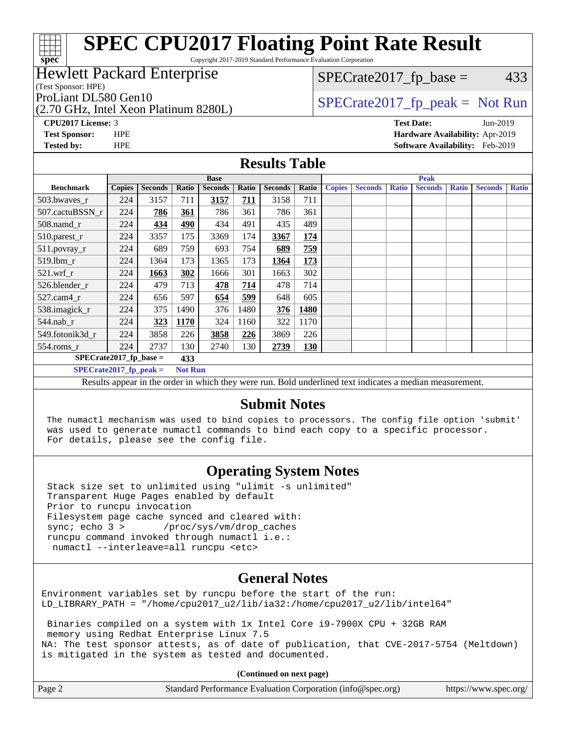# **[SPEC CPU2017 Floating Point Rate Result](http://www.spec.org/auto/cpu2017/Docs/result-fields.html#SPECCPU2017FloatingPointRateResult)**

Copyright 2017-2019 Standard Performance Evaluation Corporation

### Hewlett Packard Enterprise

(Test Sponsor: HPE)

**[spec](http://www.spec.org/)**

ti h

(2.70 GHz, Intel Xeon Platinum 8280L)

 $SPECTate2017<sub>fp</sub> base = 433$ 

## ProLiant DL580 Gen10  $SPECrate2017$  fp\_peak = Not Run

**[CPU2017 License:](http://www.spec.org/auto/cpu2017/Docs/result-fields.html#CPU2017License)** 3 **[Test Date:](http://www.spec.org/auto/cpu2017/Docs/result-fields.html#TestDate)** Jun-2019 **[Test Sponsor:](http://www.spec.org/auto/cpu2017/Docs/result-fields.html#TestSponsor)** HPE **[Hardware Availability:](http://www.spec.org/auto/cpu2017/Docs/result-fields.html#HardwareAvailability)** Apr-2019 **[Tested by:](http://www.spec.org/auto/cpu2017/Docs/result-fields.html#Testedby)** HPE **[Software Availability:](http://www.spec.org/auto/cpu2017/Docs/result-fields.html#SoftwareAvailability)** Feb-2019

### **[Results Table](http://www.spec.org/auto/cpu2017/Docs/result-fields.html#ResultsTable)**

| <b>Base</b>                                             |                                            |                |             | <b>Peak</b>    |            |                |            |               |                |              |                |              |                |              |
|---------------------------------------------------------|--------------------------------------------|----------------|-------------|----------------|------------|----------------|------------|---------------|----------------|--------------|----------------|--------------|----------------|--------------|
| <b>Benchmark</b>                                        | <b>Copies</b>                              | <b>Seconds</b> | Ratio       | <b>Seconds</b> | Ratio      | <b>Seconds</b> | Ratio      | <b>Copies</b> | <b>Seconds</b> | <b>Ratio</b> | <b>Seconds</b> | <b>Ratio</b> | <b>Seconds</b> | <b>Ratio</b> |
| $503.bwaves_r$                                          | 224                                        | 3157           | 711         | 3157           | <u>711</u> | 3158           | 711        |               |                |              |                |              |                |              |
| 507.cactuBSSN r                                         | 224                                        | 786            | 361         | 786            | 361        | 786            | 361        |               |                |              |                |              |                |              |
| $508$ .namd $_r$                                        | 224                                        | 434            | 490         | 434            | 491        | 435            | 489        |               |                |              |                |              |                |              |
| 510.parest_r                                            | 224                                        | 3357           | 175         | 3369           | 174        | 3367           | 174        |               |                |              |                |              |                |              |
| 511.povray_r                                            | 224                                        | 689            | 759         | 693            | 754        | 689            | 759        |               |                |              |                |              |                |              |
| $519.1$ bm r                                            | 224                                        | 1364           | 173         | 1365           | 173        | 1364           | 173        |               |                |              |                |              |                |              |
| $521$ .wrf r                                            | 224                                        | 1663           | 302         | 1666           | 301        | 1663           | 302        |               |                |              |                |              |                |              |
| 526.blender r                                           | 224                                        | 479            | 713         | 478            | 714        | 478            | 714        |               |                |              |                |              |                |              |
| $527.cam4_r$                                            | 224                                        | 656            | 597         | 654            | 599        | 648            | 605        |               |                |              |                |              |                |              |
| 538.imagick_r                                           | 224                                        | 375            | 1490        | 376            | 1480       | 376            | 1480       |               |                |              |                |              |                |              |
| $544$ .nab_r                                            | 224                                        | 323            | <b>1170</b> | 324            | 1160       | 322            | 1170       |               |                |              |                |              |                |              |
| 549.fotonik3d r                                         | 224                                        | 3858           | 226         | 3858           | 226        | 3869           | 226        |               |                |              |                |              |                |              |
| $554$ .roms_r                                           | 224                                        | 2737           | 130         | 2740           | 130        | 2739           | <b>130</b> |               |                |              |                |              |                |              |
| $SPECrate2017_fp\_base =$                               |                                            |                | 433         |                |            |                |            |               |                |              |                |              |                |              |
|                                                         | $SPECrate2017$ fp peak =<br><b>Not Run</b> |                |             |                |            |                |            |               |                |              |                |              |                |              |
| $\mathbf{D}$ and the state of the state of $\mathbf{D}$ |                                            |                |             |                |            |                |            |               |                |              |                |              |                |              |

Results appear in the [order in which they were run](http://www.spec.org/auto/cpu2017/Docs/result-fields.html#RunOrder). Bold underlined text [indicates a median measurement.](http://www.spec.org/auto/cpu2017/Docs/result-fields.html#Median)

### **[Submit Notes](http://www.spec.org/auto/cpu2017/Docs/result-fields.html#SubmitNotes)**

 The numactl mechanism was used to bind copies to processors. The config file option 'submit' was used to generate numactl commands to bind each copy to a specific processor. For details, please see the config file.

### **[Operating System Notes](http://www.spec.org/auto/cpu2017/Docs/result-fields.html#OperatingSystemNotes)**

 Stack size set to unlimited using "ulimit -s unlimited" Transparent Huge Pages enabled by default Prior to runcpu invocation Filesystem page cache synced and cleared with: sync; echo 3 > /proc/sys/vm/drop\_caches runcpu command invoked through numactl i.e.: numactl --interleave=all runcpu <etc>

### **[General Notes](http://www.spec.org/auto/cpu2017/Docs/result-fields.html#GeneralNotes)**

Environment variables set by runcpu before the start of the run: LD\_LIBRARY\_PATH = "/home/cpu2017\_u2/lib/ia32:/home/cpu2017\_u2/lib/intel64"

 Binaries compiled on a system with 1x Intel Core i9-7900X CPU + 32GB RAM memory using Redhat Enterprise Linux 7.5 NA: The test sponsor attests, as of date of publication, that CVE-2017-5754 (Meltdown) is mitigated in the system as tested and documented.

**(Continued on next page)**

| Page 2 | Standard Performance Evaluation Corporation (info@spec.org) | https://www.spec.org/ |
|--------|-------------------------------------------------------------|-----------------------|
|--------|-------------------------------------------------------------|-----------------------|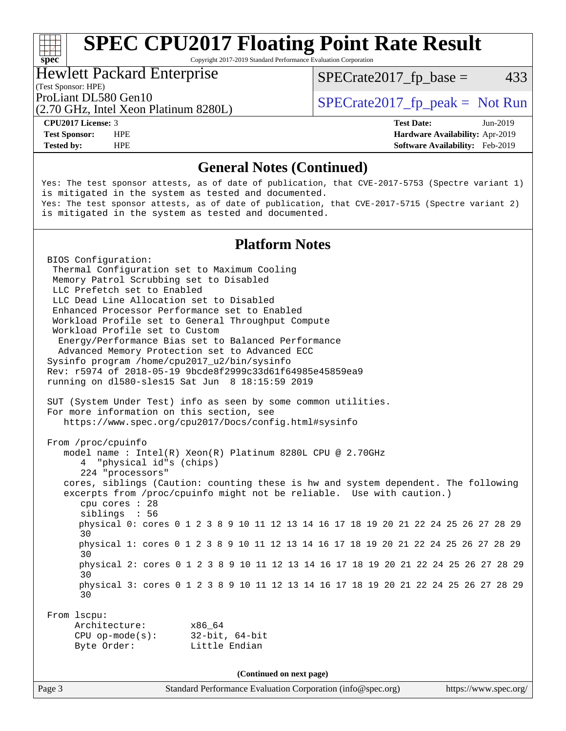## **[SPEC CPU2017 Floating Point Rate Result](http://www.spec.org/auto/cpu2017/Docs/result-fields.html#SPECCPU2017FloatingPointRateResult)**

Copyright 2017-2019 Standard Performance Evaluation Corporation

### Hewlett Packard Enterprise

 $SPECTate2017<sub>fp</sub> base = 433$ 

(Test Sponsor: HPE)

(2.70 GHz, Intel Xeon Platinum 8280L)

ProLiant DL580 Gen10  $SPECrate2017$  fp\_peak = Not Run

**[spec](http://www.spec.org/)**<sup>®</sup>

**[Tested by:](http://www.spec.org/auto/cpu2017/Docs/result-fields.html#Testedby)** HPE **[Software Availability:](http://www.spec.org/auto/cpu2017/Docs/result-fields.html#SoftwareAvailability)** Feb-2019

**[CPU2017 License:](http://www.spec.org/auto/cpu2017/Docs/result-fields.html#CPU2017License)** 3 **[Test Date:](http://www.spec.org/auto/cpu2017/Docs/result-fields.html#TestDate)** Jun-2019 **[Test Sponsor:](http://www.spec.org/auto/cpu2017/Docs/result-fields.html#TestSponsor)** HPE **[Hardware Availability:](http://www.spec.org/auto/cpu2017/Docs/result-fields.html#HardwareAvailability)** Apr-2019

### **[General Notes \(Continued\)](http://www.spec.org/auto/cpu2017/Docs/result-fields.html#GeneralNotes)**

Yes: The test sponsor attests, as of date of publication, that CVE-2017-5753 (Spectre variant 1) is mitigated in the system as tested and documented. Yes: The test sponsor attests, as of date of publication, that CVE-2017-5715 (Spectre variant 2) is mitigated in the system as tested and documented.

### **[Platform Notes](http://www.spec.org/auto/cpu2017/Docs/result-fields.html#PlatformNotes)**

 BIOS Configuration: Thermal Configuration set to Maximum Cooling Memory Patrol Scrubbing set to Disabled LLC Prefetch set to Enabled LLC Dead Line Allocation set to Disabled Enhanced Processor Performance set to Enabled Workload Profile set to General Throughput Compute Workload Profile set to Custom Energy/Performance Bias set to Balanced Performance Advanced Memory Protection set to Advanced ECC Sysinfo program /home/cpu2017\_u2/bin/sysinfo Rev: r5974 of 2018-05-19 9bcde8f2999c33d61f64985e45859ea9 running on dl580-sles15 Sat Jun 8 18:15:59 2019 SUT (System Under Test) info as seen by some common utilities. For more information on this section, see <https://www.spec.org/cpu2017/Docs/config.html#sysinfo> From /proc/cpuinfo model name : Intel(R) Xeon(R) Platinum 8280L CPU @ 2.70GHz 4 "physical id"s (chips) 224 "processors" cores, siblings (Caution: counting these is hw and system dependent. The following excerpts from /proc/cpuinfo might not be reliable. Use with caution.) cpu cores : 28 siblings : 56 physical 0: cores 0 1 2 3 8 9 10 11 12 13 14 16 17 18 19 20 21 22 24 25 26 27 28 29 30 physical 1: cores 0 1 2 3 8 9 10 11 12 13 14 16 17 18 19 20 21 22 24 25 26 27 28 29 30 physical 2: cores 0 1 2 3 8 9 10 11 12 13 14 16 17 18 19 20 21 22 24 25 26 27 28 29 30 physical 3: cores 0 1 2 3 8 9 10 11 12 13 14 16 17 18 19 20 21 22 24 25 26 27 28 29 30 From lscpu: Architecture: x86\_64 CPU op-mode(s): 32-bit, 64-bit Byte Order: Little Endian **(Continued on next page)**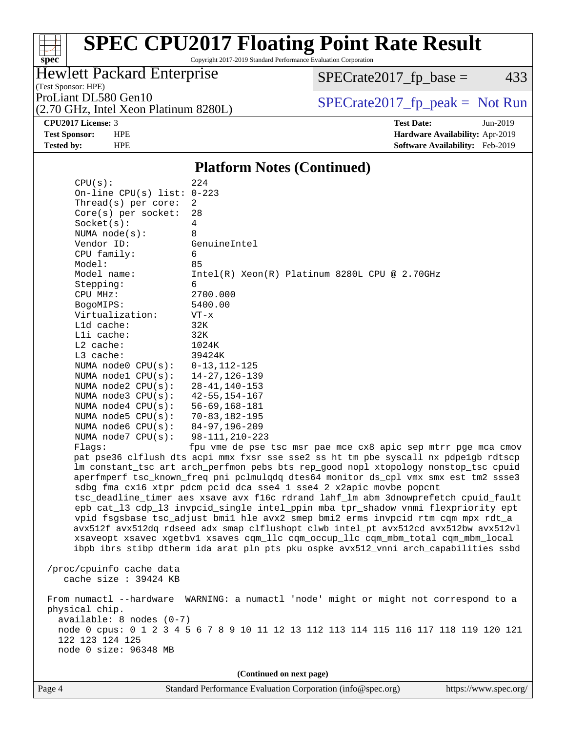# **[spec](http://www.spec.org/)**<sup>®</sup>

# **[SPEC CPU2017 Floating Point Rate Result](http://www.spec.org/auto/cpu2017/Docs/result-fields.html#SPECCPU2017FloatingPointRateResult)**

Copyright 2017-2019 Standard Performance Evaluation Corporation

### Hewlett Packard Enterprise

(Test Sponsor: HPE)

 $SPECTate2017<sub>fp</sub> base = 433$ 

(2.70 GHz, Intel Xeon Platinum 8280L)

ProLiant DL580 Gen10<br>  $SPECTR_{12}$  [SPECrate2017\\_fp\\_peak =](http://www.spec.org/auto/cpu2017/Docs/result-fields.html#SPECrate2017fppeak) Not Run

**[CPU2017 License:](http://www.spec.org/auto/cpu2017/Docs/result-fields.html#CPU2017License)** 3 **[Test Date:](http://www.spec.org/auto/cpu2017/Docs/result-fields.html#TestDate)** Jun-2019 **[Test Sponsor:](http://www.spec.org/auto/cpu2017/Docs/result-fields.html#TestSponsor)** HPE **[Hardware Availability:](http://www.spec.org/auto/cpu2017/Docs/result-fields.html#HardwareAvailability)** Apr-2019 **[Tested by:](http://www.spec.org/auto/cpu2017/Docs/result-fields.html#Testedby)** HPE **[Software Availability:](http://www.spec.org/auto/cpu2017/Docs/result-fields.html#SoftwareAvailability)** Feb-2019

### **[Platform Notes \(Continued\)](http://www.spec.org/auto/cpu2017/Docs/result-fields.html#PlatformNotes)**

 CPU(s): 224 On-line CPU(s) list: 0-223 Thread(s) per core: 2 Core(s) per socket: 28 Socket(s): 4 NUMA node(s): 8 Vendor ID: GenuineIntel CPU family: 6 Model: 85 Model name: Intel(R) Xeon(R) Platinum 8280L CPU @ 2.70GHz Stepping: 6 CPU MHz: 2700.000 BogoMIPS: 5400.00 Virtualization: VT-x L1d cache: 32K L1i cache: 32K L2 cache: 1024K L3 cache: 39424K NUMA node0 CPU(s): 0-13,112-125 NUMA node1 CPU(s): 14-27,126-139 NUMA node2 CPU(s): 28-41,140-153 NUMA node3 CPU(s): 42-55,154-167 NUMA node4 CPU(s): 56-69,168-181 NUMA node5 CPU(s): 70-83,182-195 NUMA node6 CPU(s): 84-97,196-209 NUMA node7 CPU(s): 98-111,210-223 Flags: fpu vme de pse tsc msr pae mce cx8 apic sep mtrr pge mca cmov pat pse36 clflush dts acpi mmx fxsr sse sse2 ss ht tm pbe syscall nx pdpe1gb rdtscp lm constant\_tsc art arch\_perfmon pebs bts rep\_good nopl xtopology nonstop\_tsc cpuid aperfmperf tsc\_known\_freq pni pclmulqdq dtes64 monitor ds\_cpl vmx smx est tm2 ssse3 sdbg fma cx16 xtpr pdcm pcid dca sse4\_1 sse4\_2 x2apic movbe popcnt tsc\_deadline\_timer aes xsave avx f16c rdrand lahf\_lm abm 3dnowprefetch cpuid\_fault epb cat\_l3 cdp\_l3 invpcid\_single intel\_ppin mba tpr\_shadow vnmi flexpriority ept vpid fsgsbase tsc\_adjust bmi1 hle avx2 smep bmi2 erms invpcid rtm cqm mpx rdt\_a avx512f avx512dq rdseed adx smap clflushopt clwb intel\_pt avx512cd avx512bw avx512vl xsaveopt xsavec xgetbv1 xsaves cqm\_llc cqm\_occup\_llc cqm\_mbm\_total cqm\_mbm\_local ibpb ibrs stibp dtherm ida arat pln pts pku ospke avx512\_vnni arch\_capabilities ssbd /proc/cpuinfo cache data cache size : 39424 KB From numactl --hardware WARNING: a numactl 'node' might or might not correspond to a physical chip. available: 8 nodes (0-7) node 0 cpus: 0 1 2 3 4 5 6 7 8 9 10 11 12 13 112 113 114 115 116 117 118 119 120 121 122 123 124 125 node 0 size: 96348 MB **(Continued on next page)**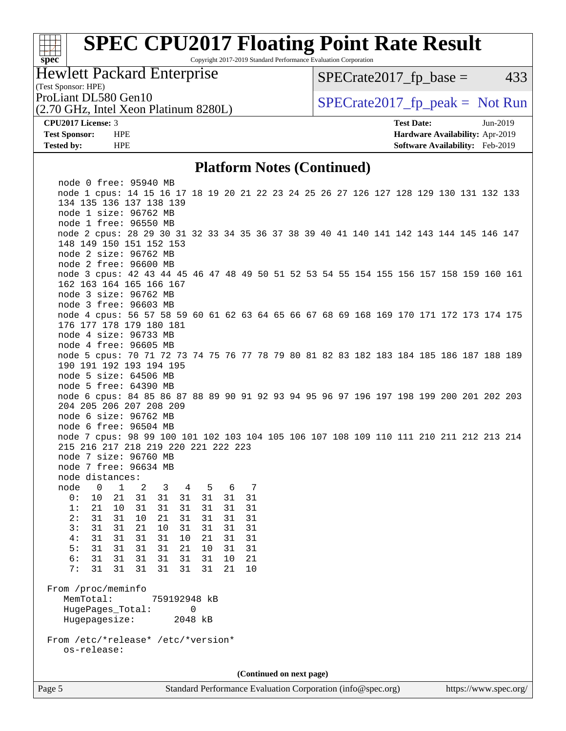# **[spec](http://www.spec.org/)**

# **[SPEC CPU2017 Floating Point Rate Result](http://www.spec.org/auto/cpu2017/Docs/result-fields.html#SPECCPU2017FloatingPointRateResult)**

Copyright 2017-2019 Standard Performance Evaluation Corporation

### Hewlett Packard Enterprise

 $SPECTate2017<sub>fp</sub> base = 433$ 

(Test Sponsor: HPE)

(2.70 GHz, Intel Xeon Platinum 8280L)

ProLiant DL580 Gen10  $SPECrate2017$  fp\_peak = Not Run

**[CPU2017 License:](http://www.spec.org/auto/cpu2017/Docs/result-fields.html#CPU2017License)** 3 **[Test Date:](http://www.spec.org/auto/cpu2017/Docs/result-fields.html#TestDate)** Jun-2019 **[Test Sponsor:](http://www.spec.org/auto/cpu2017/Docs/result-fields.html#TestSponsor)** HPE **[Hardware Availability:](http://www.spec.org/auto/cpu2017/Docs/result-fields.html#HardwareAvailability)** Apr-2019 **[Tested by:](http://www.spec.org/auto/cpu2017/Docs/result-fields.html#Testedby)** HPE **[Software Availability:](http://www.spec.org/auto/cpu2017/Docs/result-fields.html#SoftwareAvailability)** Feb-2019

### **[Platform Notes \(Continued\)](http://www.spec.org/auto/cpu2017/Docs/result-fields.html#PlatformNotes)**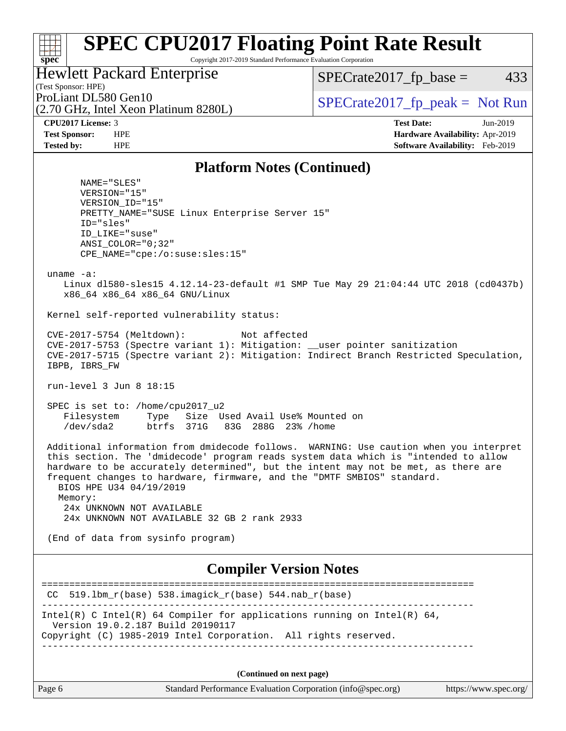### **[spec](http://www.spec.org/) [SPEC CPU2017 Floating Point Rate Result](http://www.spec.org/auto/cpu2017/Docs/result-fields.html#SPECCPU2017FloatingPointRateResult)** Copyright 2017-2019 Standard Performance Evaluation Corporation (Test Sponsor: HPE) Hewlett Packard Enterprise (2.70 GHz, Intel Xeon Platinum 8280L) ProLiant DL580 Gen10  $SPECrate2017$  fp\_peak = Not Run  $SPECTate2017<sub>fp</sub> base = 433$ **[CPU2017 License:](http://www.spec.org/auto/cpu2017/Docs/result-fields.html#CPU2017License)** 3 **[Test Date:](http://www.spec.org/auto/cpu2017/Docs/result-fields.html#TestDate)** Jun-2019 **[Test Sponsor:](http://www.spec.org/auto/cpu2017/Docs/result-fields.html#TestSponsor)** HPE **[Hardware Availability:](http://www.spec.org/auto/cpu2017/Docs/result-fields.html#HardwareAvailability)** Apr-2019 **[Tested by:](http://www.spec.org/auto/cpu2017/Docs/result-fields.html#Testedby)** HPE **[Software Availability:](http://www.spec.org/auto/cpu2017/Docs/result-fields.html#SoftwareAvailability)** Feb-2019 **[Platform Notes \(Continued\)](http://www.spec.org/auto/cpu2017/Docs/result-fields.html#PlatformNotes)** NAME="SLES" VERSION="15" VERSION\_ID="15" PRETTY\_NAME="SUSE Linux Enterprise Server 15" ID="sles" ID\_LIKE="suse" ANSI\_COLOR="0;32" CPE\_NAME="cpe:/o:suse:sles:15" uname -a: Linux dl580-sles15 4.12.14-23-default #1 SMP Tue May 29 21:04:44 UTC 2018 (cd0437b) x86\_64 x86\_64 x86\_64 GNU/Linux Kernel self-reported vulnerability status: CVE-2017-5754 (Meltdown): Not affected CVE-2017-5753 (Spectre variant 1): Mitigation: \_\_user pointer sanitization CVE-2017-5715 (Spectre variant 2): Mitigation: Indirect Branch Restricted Speculation, IBPB, IBRS\_FW run-level 3 Jun 8 18:15 SPEC is set to: /home/cpu2017\_u2 Filesystem Type Size Used Avail Use% Mounted on<br>
/dev/sda2 btrfs 371G 83G 288G 23% /home btrfs 371G 83G 288G 23% / home Additional information from dmidecode follows. WARNING: Use caution when you interpret this section. The 'dmidecode' program reads system data which is "intended to allow hardware to be accurately determined", but the intent may not be met, as there are frequent changes to hardware, firmware, and the "DMTF SMBIOS" standard. BIOS HPE U34 04/19/2019 Memory: 24x UNKNOWN NOT AVAILABLE 24x UNKNOWN NOT AVAILABLE 32 GB 2 rank 2933 (End of data from sysinfo program)

### **[Compiler Version Notes](http://www.spec.org/auto/cpu2017/Docs/result-fields.html#CompilerVersionNotes)**

| $CC$ 519.1bm_r(base) 538.imagick_r(base) 544.nab_r(base)                                                                                                                         |
|----------------------------------------------------------------------------------------------------------------------------------------------------------------------------------|
| Intel(R) C Intel(R) 64 Compiler for applications running on Intel(R) 64,<br>Version 19.0.2.187 Build 20190117<br>Copyright (C) 1985-2019 Intel Corporation. All rights reserved. |
|                                                                                                                                                                                  |

**(Continued on next page)**

| Page 6 | Standard Performance Evaluation Corporation (info@spec.org) | https://www.spec.org/ |
|--------|-------------------------------------------------------------|-----------------------|
|--------|-------------------------------------------------------------|-----------------------|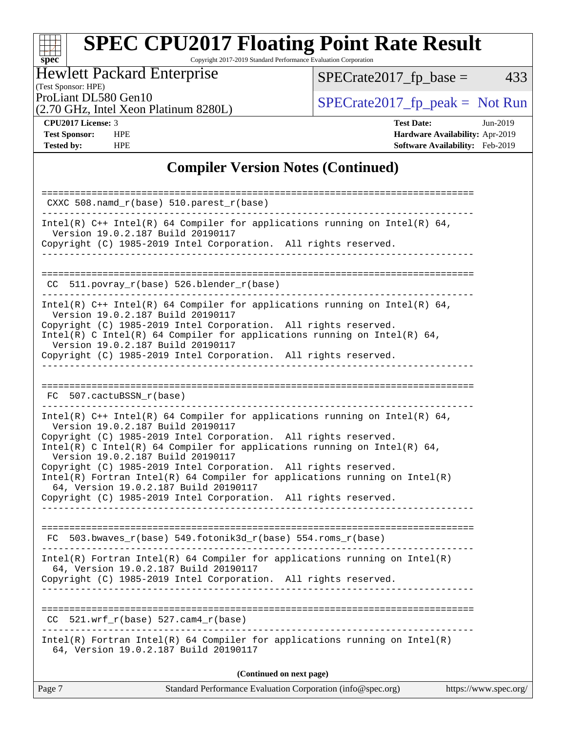### $+\ +$ **[spec](http://www.spec.org/)**

# **[SPEC CPU2017 Floating Point Rate Result](http://www.spec.org/auto/cpu2017/Docs/result-fields.html#SPECCPU2017FloatingPointRateResult)**

Copyright 2017-2019 Standard Performance Evaluation Corporation

## Hewlett Packard Enterprise

 $SPECTate2017_fp\_base = 433$ 

(Test Sponsor: HPE)

(2.70 GHz, Intel Xeon Platinum 8280L)

ProLiant DL580 Gen10<br>(2.70 GHz, Intel Xeon Platinum 8280L) [SPECrate2017\\_fp\\_peak =](http://www.spec.org/auto/cpu2017/Docs/result-fields.html#SPECrate2017fppeak) Not Run

**[CPU2017 License:](http://www.spec.org/auto/cpu2017/Docs/result-fields.html#CPU2017License)** 3 **[Test Date:](http://www.spec.org/auto/cpu2017/Docs/result-fields.html#TestDate)** Jun-2019 **[Test Sponsor:](http://www.spec.org/auto/cpu2017/Docs/result-fields.html#TestSponsor)** HPE **[Hardware Availability:](http://www.spec.org/auto/cpu2017/Docs/result-fields.html#HardwareAvailability)** Apr-2019 **[Tested by:](http://www.spec.org/auto/cpu2017/Docs/result-fields.html#Testedby)** HPE **[Software Availability:](http://www.spec.org/auto/cpu2017/Docs/result-fields.html#SoftwareAvailability)** Feb-2019

### **[Compiler Version Notes \(Continued\)](http://www.spec.org/auto/cpu2017/Docs/result-fields.html#CompilerVersionNotes)**

| Standard Performance Evaluation Corporation (info@spec.org)<br>Page 7<br>https://www.spec.org/                                                                                                                                                                                                                                      |
|-------------------------------------------------------------------------------------------------------------------------------------------------------------------------------------------------------------------------------------------------------------------------------------------------------------------------------------|
| (Continued on next page)                                                                                                                                                                                                                                                                                                            |
| Intel(R) Fortran Intel(R) 64 Compiler for applications running on $Intel(R)$<br>64, Version 19.0.2.187 Build 20190117                                                                                                                                                                                                               |
| $521.$ wrf $r(base)$ 527. cam4 $r(base)$<br>CC.                                                                                                                                                                                                                                                                                     |
|                                                                                                                                                                                                                                                                                                                                     |
| 64, Version 19.0.2.187 Build 20190117<br>Copyright (C) 1985-2019 Intel Corporation. All rights reserved.                                                                                                                                                                                                                            |
| $Intel(R)$ Fortran Intel(R) 64 Compiler for applications running on Intel(R)                                                                                                                                                                                                                                                        |
| $FC 503.bwaves_r(base) 549.fotonik3d_r(base) 554.roms_r(base)$                                                                                                                                                                                                                                                                      |
| 64, Version 19.0.2.187 Build 20190117<br>Copyright (C) 1985-2019 Intel Corporation. All rights reserved.                                                                                                                                                                                                                            |
| Copyright (C) 1985-2019 Intel Corporation. All rights reserved.<br>Intel(R) C Intel(R) 64 Compiler for applications running on Intel(R) 64,<br>Version 19.0.2.187 Build 20190117<br>Copyright (C) 1985-2019 Intel Corporation. All rights reserved.<br>$Intel(R)$ Fortran Intel(R) 64 Compiler for applications running on Intel(R) |
| Intel(R) $C++$ Intel(R) 64 Compiler for applications running on Intel(R) 64,<br>Version 19.0.2.187 Build 20190117                                                                                                                                                                                                                   |
| FC 507.cactuBSSN_r(base)                                                                                                                                                                                                                                                                                                            |
| Copyright (C) 1985-2019 Intel Corporation. All rights reserved.<br>____________________________                                                                                                                                                                                                                                     |
| Version 19.0.2.187 Build 20190117<br>Copyright (C) 1985-2019 Intel Corporation. All rights reserved.<br>Intel(R) C Intel(R) 64 Compiler for applications running on Intel(R) 64,<br>Version 19.0.2.187 Build 20190117                                                                                                               |
| Intel(R) $C++$ Intel(R) 64 Compiler for applications running on Intel(R) 64,                                                                                                                                                                                                                                                        |
| 511.povray_r(base) 526.blender_r(base)<br>CC.                                                                                                                                                                                                                                                                                       |
| Version 19.0.2.187 Build 20190117<br>Copyright (C) 1985-2019 Intel Corporation. All rights reserved.<br>------------                                                                                                                                                                                                                |
| Intel(R) C++ Intel(R) 64 Compiler for applications running on Intel(R) 64,                                                                                                                                                                                                                                                          |
| $CXXC 508.namd_r(base) 510.parest_r(base)$                                                                                                                                                                                                                                                                                          |
|                                                                                                                                                                                                                                                                                                                                     |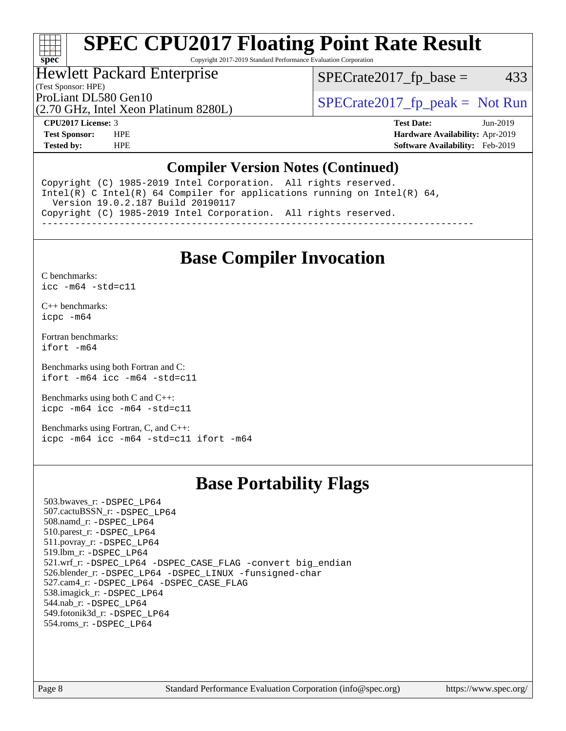## **[SPEC CPU2017 Floating Point Rate Result](http://www.spec.org/auto/cpu2017/Docs/result-fields.html#SPECCPU2017FloatingPointRateResult)**

Copyright 2017-2019 Standard Performance Evaluation Corporation

### Hewlett Packard Enterprise

(Test Sponsor: HPE)

 $SPECTate2017<sub>fp</sub> base = 433$ 

(2.70 GHz, Intel Xeon Platinum 8280L)

ProLiant DL580 Gen10<br>  $SPECTR_{12}$  [SPECrate2017\\_fp\\_peak =](http://www.spec.org/auto/cpu2017/Docs/result-fields.html#SPECrate2017fppeak) Not Run

**[spec](http://www.spec.org/)**

H F

**[CPU2017 License:](http://www.spec.org/auto/cpu2017/Docs/result-fields.html#CPU2017License)** 3 **[Test Date:](http://www.spec.org/auto/cpu2017/Docs/result-fields.html#TestDate)** Jun-2019 **[Test Sponsor:](http://www.spec.org/auto/cpu2017/Docs/result-fields.html#TestSponsor)** HPE **[Hardware Availability:](http://www.spec.org/auto/cpu2017/Docs/result-fields.html#HardwareAvailability)** Apr-2019 **[Tested by:](http://www.spec.org/auto/cpu2017/Docs/result-fields.html#Testedby)** HPE **[Software Availability:](http://www.spec.org/auto/cpu2017/Docs/result-fields.html#SoftwareAvailability)** Feb-2019

### **[Compiler Version Notes \(Continued\)](http://www.spec.org/auto/cpu2017/Docs/result-fields.html#CompilerVersionNotes)**

Copyright (C) 1985-2019 Intel Corporation. All rights reserved. Intel(R) C Intel(R) 64 Compiler for applications running on Intel(R) 64, Version 19.0.2.187 Build 20190117 Copyright (C) 1985-2019 Intel Corporation. All rights reserved. ------------------------------------------------------------------------------

## **[Base Compiler Invocation](http://www.spec.org/auto/cpu2017/Docs/result-fields.html#BaseCompilerInvocation)**

[C benchmarks](http://www.spec.org/auto/cpu2017/Docs/result-fields.html#Cbenchmarks): [icc -m64 -std=c11](http://www.spec.org/cpu2017/results/res2019q3/cpu2017-20190625-15779.flags.html#user_CCbase_intel_icc_64bit_c11_33ee0cdaae7deeeab2a9725423ba97205ce30f63b9926c2519791662299b76a0318f32ddfffdc46587804de3178b4f9328c46fa7c2b0cd779d7a61945c91cd35)

[C++ benchmarks:](http://www.spec.org/auto/cpu2017/Docs/result-fields.html#CXXbenchmarks) [icpc -m64](http://www.spec.org/cpu2017/results/res2019q3/cpu2017-20190625-15779.flags.html#user_CXXbase_intel_icpc_64bit_4ecb2543ae3f1412ef961e0650ca070fec7b7afdcd6ed48761b84423119d1bf6bdf5cad15b44d48e7256388bc77273b966e5eb805aefd121eb22e9299b2ec9d9)

[Fortran benchmarks](http://www.spec.org/auto/cpu2017/Docs/result-fields.html#Fortranbenchmarks): [ifort -m64](http://www.spec.org/cpu2017/results/res2019q3/cpu2017-20190625-15779.flags.html#user_FCbase_intel_ifort_64bit_24f2bb282fbaeffd6157abe4f878425411749daecae9a33200eee2bee2fe76f3b89351d69a8130dd5949958ce389cf37ff59a95e7a40d588e8d3a57e0c3fd751)

[Benchmarks using both Fortran and C](http://www.spec.org/auto/cpu2017/Docs/result-fields.html#BenchmarksusingbothFortranandC): [ifort -m64](http://www.spec.org/cpu2017/results/res2019q3/cpu2017-20190625-15779.flags.html#user_CC_FCbase_intel_ifort_64bit_24f2bb282fbaeffd6157abe4f878425411749daecae9a33200eee2bee2fe76f3b89351d69a8130dd5949958ce389cf37ff59a95e7a40d588e8d3a57e0c3fd751) [icc -m64 -std=c11](http://www.spec.org/cpu2017/results/res2019q3/cpu2017-20190625-15779.flags.html#user_CC_FCbase_intel_icc_64bit_c11_33ee0cdaae7deeeab2a9725423ba97205ce30f63b9926c2519791662299b76a0318f32ddfffdc46587804de3178b4f9328c46fa7c2b0cd779d7a61945c91cd35)

[Benchmarks using both C and C++](http://www.spec.org/auto/cpu2017/Docs/result-fields.html#BenchmarksusingbothCandCXX): [icpc -m64](http://www.spec.org/cpu2017/results/res2019q3/cpu2017-20190625-15779.flags.html#user_CC_CXXbase_intel_icpc_64bit_4ecb2543ae3f1412ef961e0650ca070fec7b7afdcd6ed48761b84423119d1bf6bdf5cad15b44d48e7256388bc77273b966e5eb805aefd121eb22e9299b2ec9d9) [icc -m64 -std=c11](http://www.spec.org/cpu2017/results/res2019q3/cpu2017-20190625-15779.flags.html#user_CC_CXXbase_intel_icc_64bit_c11_33ee0cdaae7deeeab2a9725423ba97205ce30f63b9926c2519791662299b76a0318f32ddfffdc46587804de3178b4f9328c46fa7c2b0cd779d7a61945c91cd35)

[Benchmarks using Fortran, C, and C++:](http://www.spec.org/auto/cpu2017/Docs/result-fields.html#BenchmarksusingFortranCandCXX) [icpc -m64](http://www.spec.org/cpu2017/results/res2019q3/cpu2017-20190625-15779.flags.html#user_CC_CXX_FCbase_intel_icpc_64bit_4ecb2543ae3f1412ef961e0650ca070fec7b7afdcd6ed48761b84423119d1bf6bdf5cad15b44d48e7256388bc77273b966e5eb805aefd121eb22e9299b2ec9d9) [icc -m64 -std=c11](http://www.spec.org/cpu2017/results/res2019q3/cpu2017-20190625-15779.flags.html#user_CC_CXX_FCbase_intel_icc_64bit_c11_33ee0cdaae7deeeab2a9725423ba97205ce30f63b9926c2519791662299b76a0318f32ddfffdc46587804de3178b4f9328c46fa7c2b0cd779d7a61945c91cd35) [ifort -m64](http://www.spec.org/cpu2017/results/res2019q3/cpu2017-20190625-15779.flags.html#user_CC_CXX_FCbase_intel_ifort_64bit_24f2bb282fbaeffd6157abe4f878425411749daecae9a33200eee2bee2fe76f3b89351d69a8130dd5949958ce389cf37ff59a95e7a40d588e8d3a57e0c3fd751)

## **[Base Portability Flags](http://www.spec.org/auto/cpu2017/Docs/result-fields.html#BasePortabilityFlags)**

 503.bwaves\_r: [-DSPEC\\_LP64](http://www.spec.org/cpu2017/results/res2019q3/cpu2017-20190625-15779.flags.html#suite_basePORTABILITY503_bwaves_r_DSPEC_LP64) 507.cactuBSSN\_r: [-DSPEC\\_LP64](http://www.spec.org/cpu2017/results/res2019q3/cpu2017-20190625-15779.flags.html#suite_basePORTABILITY507_cactuBSSN_r_DSPEC_LP64) 508.namd\_r: [-DSPEC\\_LP64](http://www.spec.org/cpu2017/results/res2019q3/cpu2017-20190625-15779.flags.html#suite_basePORTABILITY508_namd_r_DSPEC_LP64) 510.parest\_r: [-DSPEC\\_LP64](http://www.spec.org/cpu2017/results/res2019q3/cpu2017-20190625-15779.flags.html#suite_basePORTABILITY510_parest_r_DSPEC_LP64) 511.povray\_r: [-DSPEC\\_LP64](http://www.spec.org/cpu2017/results/res2019q3/cpu2017-20190625-15779.flags.html#suite_basePORTABILITY511_povray_r_DSPEC_LP64) 519.lbm\_r: [-DSPEC\\_LP64](http://www.spec.org/cpu2017/results/res2019q3/cpu2017-20190625-15779.flags.html#suite_basePORTABILITY519_lbm_r_DSPEC_LP64) 521.wrf\_r: [-DSPEC\\_LP64](http://www.spec.org/cpu2017/results/res2019q3/cpu2017-20190625-15779.flags.html#suite_basePORTABILITY521_wrf_r_DSPEC_LP64) [-DSPEC\\_CASE\\_FLAG](http://www.spec.org/cpu2017/results/res2019q3/cpu2017-20190625-15779.flags.html#b521.wrf_r_baseCPORTABILITY_DSPEC_CASE_FLAG) [-convert big\\_endian](http://www.spec.org/cpu2017/results/res2019q3/cpu2017-20190625-15779.flags.html#user_baseFPORTABILITY521_wrf_r_convert_big_endian_c3194028bc08c63ac5d04de18c48ce6d347e4e562e8892b8bdbdc0214820426deb8554edfa529a3fb25a586e65a3d812c835984020483e7e73212c4d31a38223) 526.blender\_r: [-DSPEC\\_LP64](http://www.spec.org/cpu2017/results/res2019q3/cpu2017-20190625-15779.flags.html#suite_basePORTABILITY526_blender_r_DSPEC_LP64) [-DSPEC\\_LINUX](http://www.spec.org/cpu2017/results/res2019q3/cpu2017-20190625-15779.flags.html#b526.blender_r_baseCPORTABILITY_DSPEC_LINUX) [-funsigned-char](http://www.spec.org/cpu2017/results/res2019q3/cpu2017-20190625-15779.flags.html#user_baseCPORTABILITY526_blender_r_force_uchar_40c60f00ab013830e2dd6774aeded3ff59883ba5a1fc5fc14077f794d777847726e2a5858cbc7672e36e1b067e7e5c1d9a74f7176df07886a243d7cc18edfe67) 527.cam4\_r: [-DSPEC\\_LP64](http://www.spec.org/cpu2017/results/res2019q3/cpu2017-20190625-15779.flags.html#suite_basePORTABILITY527_cam4_r_DSPEC_LP64) [-DSPEC\\_CASE\\_FLAG](http://www.spec.org/cpu2017/results/res2019q3/cpu2017-20190625-15779.flags.html#b527.cam4_r_baseCPORTABILITY_DSPEC_CASE_FLAG) 538.imagick\_r: [-DSPEC\\_LP64](http://www.spec.org/cpu2017/results/res2019q3/cpu2017-20190625-15779.flags.html#suite_basePORTABILITY538_imagick_r_DSPEC_LP64) 544.nab\_r: [-DSPEC\\_LP64](http://www.spec.org/cpu2017/results/res2019q3/cpu2017-20190625-15779.flags.html#suite_basePORTABILITY544_nab_r_DSPEC_LP64) 549.fotonik3d\_r: [-DSPEC\\_LP64](http://www.spec.org/cpu2017/results/res2019q3/cpu2017-20190625-15779.flags.html#suite_basePORTABILITY549_fotonik3d_r_DSPEC_LP64) 554.roms\_r: [-DSPEC\\_LP64](http://www.spec.org/cpu2017/results/res2019q3/cpu2017-20190625-15779.flags.html#suite_basePORTABILITY554_roms_r_DSPEC_LP64)